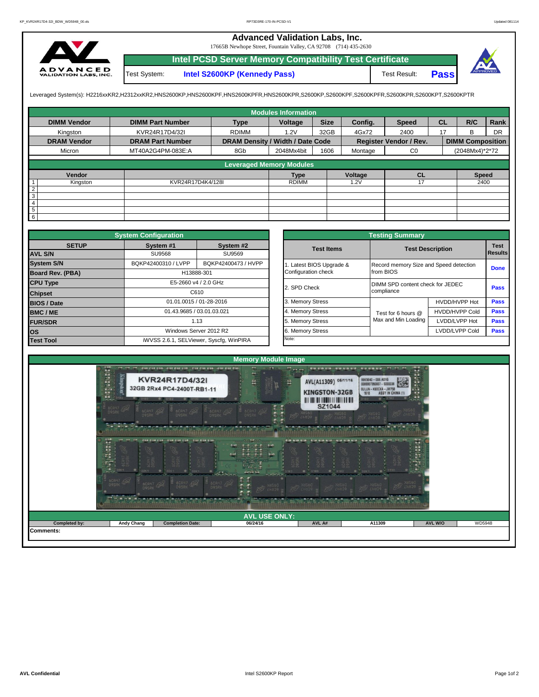## **Advanced Validation Labs, Inc.**

17665B Newhope Street, Fountain Valley, CA 92708 (714) 435-2630



Test System: **Intel S2600KP (Kennedy Pass)** Test Result: **Intel PCSD Server Memory Compatibility Test Certificate Pass**



Leveraged System(s): H2216xxKR2,H2312xxKR2,HNS2600KP,HNS2600KPF,HNS2600KPFR,HNS2600KPR,S2600KP,S2600KPF,S2600KPFR,S2600KPR,S2600KPT,S2600KPTR

|                    |                         |                                  | <b>Modules Information</b> |             |         |                        |           |                         |           |
|--------------------|-------------------------|----------------------------------|----------------------------|-------------|---------|------------------------|-----------|-------------------------|-----------|
| <b>DIMM Vendor</b> | <b>DIMM Part Number</b> | <b>Type</b>                      | Voltage                    | <b>Size</b> | Config. | <b>Speed</b>           | <b>CL</b> | R/C                     | Rank      |
| Kingston           | KVR24R17D4/32I          | <b>RDIMM</b>                     | 1.2V                       | 32GB        | 4Gx72   | 2400                   | 17        | <sub>B</sub>            | <b>DR</b> |
| <b>DRAM Vendor</b> | <b>DRAM Part Number</b> | DRAM Density / Width / Date Code |                            |             |         | Register Vendor / Rev. |           | <b>DIMM Composition</b> |           |
| Micron             | MT40A2G4PM-083E:A       | 8Gb                              | 2048Mx4bit                 | 1606        | Montage | C <sub>0</sub>         |           | (2048Mx4)*2*72          |           |
|                    |                         | <b>Leveraged Memory Modules</b>  |                            |             |         |                        |           |                         |           |
|                    |                         |                                  |                            |             |         |                        |           |                         |           |
| Vendor             |                         |                                  | <b>Type</b>                |             | Voltage | <b>CL</b>              |           | <b>Speed</b>            |           |
| Kingston           | KVR24R17D4K4/128I       |                                  | <b>RDIMM</b>               |             | 1.2V    | 17                     |           | 2400                    |           |
| $\overline{2}$     |                         |                                  |                            |             |         |                        |           |                         |           |
| 3                  |                         |                                  |                            |             |         |                        |           |                         |           |
| $\overline{4}$     |                         |                                  |                            |             |         |                        |           |                         |           |
| 5                  |                         |                                  |                            |             |         |                        |           |                         |           |
| $6\overline{6}$    |                         |                                  |                            |             |         |                        |           |                         |           |

|                         | <b>System Configuration</b> |                                         |              |                       | <b>Testing Summary</b>                 |                       |                |  |  |
|-------------------------|-----------------------------|-----------------------------------------|--------------|-----------------------|----------------------------------------|-----------------------|----------------|--|--|
| <b>SETUP</b>            | System #1<br>System #2      |                                         |              | <b>Test Items</b>     | <b>Test Description</b>                | <b>Test</b>           |                |  |  |
| <b>AVL S/N</b>          | SU9568                      | SU9569                                  |              |                       |                                        |                       | <b>Results</b> |  |  |
| <b>System S/N</b>       | BQKP42400310 / LVPP         | BQKP42400473 / HVPP                     |              | Latest BIOS Upgrade & | Record memory Size and Speed detection |                       | <b>Done</b>    |  |  |
| <b>Board Rev. (PBA)</b> |                             | H13888-301                              |              | Configuration check   | from BIOS                              |                       |                |  |  |
| <b>CPU Type</b>         | E5-2660 v4 / 2.0 GHz        |                                         | 2. SPD Check |                       | DIMM SPD content check for JEDEC       |                       |                |  |  |
| <b>Chipset</b>          |                             | C610                                    |              |                       | compliance                             |                       | Pass           |  |  |
| <b>BIOS / Date</b>      |                             | 01.01.0015 / 01-28-2016                 |              | 3. Memory Stress      |                                        | HVDD/HVPP Hot         | Pass           |  |  |
| <b>BMC/ME</b>           |                             | 01.43.9685 / 03.01.03.021               |              | 4. Memory Stress      | Test for 6 hours @                     | <b>HVDD/HVPP Cold</b> | <b>Pass</b>    |  |  |
| <b>FUR/SDR</b>          |                             | 1.13                                    |              | 5. Memory Stress      | Max and Min Loading                    | LVDD/LVPP Hot         | <b>Pass</b>    |  |  |
| <b>los</b>              |                             | Windows Server 2012 R2                  |              | 6. Memory Stress      |                                        | LVDD/LVPP Cold        | <b>Pass</b>    |  |  |
| <b>Test Tool</b>        |                             | iWVSS 2.6.1, SELViewer, Syscfq, WinPIRA |              | Note:                 |                                        |                       |                |  |  |

|              | <b>System Configuration</b> |                                         | <b>Testing Summary</b> |                                  |                                        |                               |  |  |  |  |  |
|--------------|-----------------------------|-----------------------------------------|------------------------|----------------------------------|----------------------------------------|-------------------------------|--|--|--|--|--|
| <b>SETUP</b> | System #1                   | System #2                               | <b>Test Items</b>      | <b>Test Description</b>          |                                        | <b>Test</b><br><b>Results</b> |  |  |  |  |  |
|              | <b>SU9568</b>               | SU9569                                  |                        |                                  |                                        |                               |  |  |  |  |  |
|              | BQKP42400310 / LVPP         | BQKP42400473 / HVPP                     | Latest BIOS Upgrade &  |                                  | Record memory Size and Speed detection |                               |  |  |  |  |  |
| PBA)         |                             | H13888-301                              | Configuration check    | from BIOS                        |                                        | <b>Done</b>                   |  |  |  |  |  |
|              |                             | E5-2660 v4 / 2.0 GHz                    | 2. SPD Check           | DIMM SPD content check for JEDEC | Pass                                   |                               |  |  |  |  |  |
|              |                             | C610                                    |                        | compliance                       |                                        |                               |  |  |  |  |  |
|              |                             | 01.01.0015 / 01-28-2016                 | 3. Memory Stress       |                                  | HVDD/HVPP Hot                          | Pass                          |  |  |  |  |  |
|              | 01.43.9685 / 03.01.03.021   |                                         | 4. Memory Stress       | Test for 6 hours @               | <b>HVDD/HVPP Cold</b>                  | Pass                          |  |  |  |  |  |
|              |                             | 1.13                                    | 5. Memory Stress       | Max and Min Loading              | LVDD/LVPP Hot                          | Pass                          |  |  |  |  |  |
|              |                             | Windows Server 2012 R2                  | 6. Memory Stress       |                                  | LVDD/LVPP Cold                         | Pass                          |  |  |  |  |  |
|              |                             | iWVSS 2.6.1, SELViewer, Syscfq, WinPIRA |                        |                                  |                                        |                               |  |  |  |  |  |